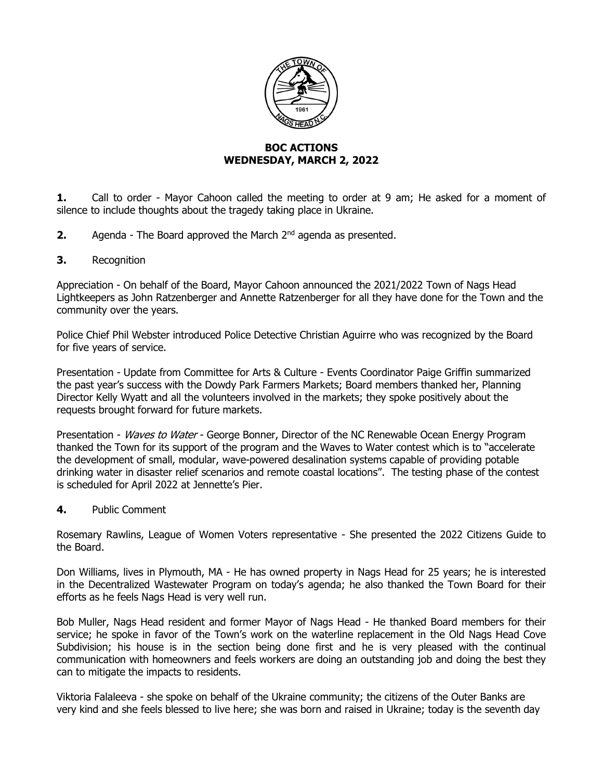

## **BOC ACTIONS WEDNESDAY, MARCH 2, 2022**

**1.** Call to order - Mayor Cahoon called the meeting to order at 9 am; He asked for a moment of silence to include thoughts about the tragedy taking place in Ukraine.

- **2.** Agenda The Board approved the March 2<sup>nd</sup> agenda as presented.
- **3.** Recognition

Appreciation - On behalf of the Board, Mayor Cahoon announced the 2021/2022 Town of Nags Head Lightkeepers as John Ratzenberger and Annette Ratzenberger for all they have done for the Town and the community over the years.

Police Chief Phil Webster introduced Police Detective Christian Aguirre who was recognized by the Board for five years of service.

Presentation - Update from Committee for Arts & Culture - Events Coordinator Paige Griffin summarized the past year's success with the Dowdy Park Farmers Markets; Board members thanked her, Planning Director Kelly Wyatt and all the volunteers involved in the markets; they spoke positively about the requests brought forward for future markets.

Presentation - Waves to Water - George Bonner, Director of the NC Renewable Ocean Energy Program thanked the Town for its support of the program and the Waves to Water contest which is to "accelerate the development of small, modular, wave-powered desalination systems capable of providing potable drinking water in disaster relief scenarios and remote coastal locations". The testing phase of the contest is scheduled for April 2022 at Jennette's Pier.

**4.** Public Comment

Rosemary Rawlins, League of Women Voters representative - She presented the 2022 Citizens Guide to the Board.

Don Williams, lives in Plymouth, MA - He has owned property in Nags Head for 25 years; he is interested in the Decentralized Wastewater Program on today's agenda; he also thanked the Town Board for their efforts as he feels Nags Head is very well run.

Bob Muller, Nags Head resident and former Mayor of Nags Head - He thanked Board members for their service; he spoke in favor of the Town's work on the waterline replacement in the Old Nags Head Cove Subdivision; his house is in the section being done first and he is very pleased with the continual communication with homeowners and feels workers are doing an outstanding job and doing the best they can to mitigate the impacts to residents.

Viktoria Falaleeva - she spoke on behalf of the Ukraine community; the citizens of the Outer Banks are very kind and she feels blessed to live here; she was born and raised in Ukraine; today is the seventh day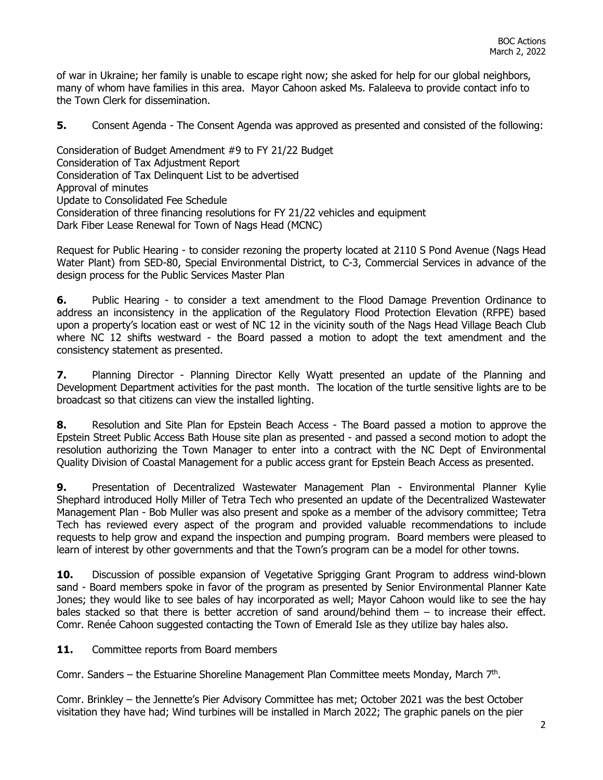of war in Ukraine; her family is unable to escape right now; she asked for help for our global neighbors, many of whom have families in this area. Mayor Cahoon asked Ms. Falaleeva to provide contact info to the Town Clerk for dissemination.

**5.** Consent Agenda - The Consent Agenda was approved as presented and consisted of the following:

Consideration of Budget Amendment #9 to FY 21/22 Budget Consideration of Tax Adjustment Report Consideration of Tax Delinquent List to be advertised Approval of minutes Update to Consolidated Fee Schedule Consideration of three financing resolutions for FY 21/22 vehicles and equipment Dark Fiber Lease Renewal for Town of Nags Head (MCNC)

Request for Public Hearing - to consider rezoning the property located at 2110 S Pond Avenue (Nags Head Water Plant) from SED-80, Special Environmental District, to C-3, Commercial Services in advance of the design process for the Public Services Master Plan

**6.** Public Hearing - to consider a text amendment to the Flood Damage Prevention Ordinance to address an inconsistency in the application of the Regulatory Flood Protection Elevation (RFPE) based upon a property's location east or west of NC 12 in the vicinity south of the Nags Head Village Beach Club where NC 12 shifts westward - the Board passed a motion to adopt the text amendment and the consistency statement as presented.

**7.** Planning Director - Planning Director Kelly Wyatt presented an update of the Planning and Development Department activities for the past month. The location of the turtle sensitive lights are to be broadcast so that citizens can view the installed lighting.

**8.** Resolution and Site Plan for Epstein Beach Access - The Board passed a motion to approve the Epstein Street Public Access Bath House site plan as presented - and passed a second motion to adopt the resolution authorizing the Town Manager to enter into a contract with the NC Dept of Environmental Quality Division of Coastal Management for a public access grant for Epstein Beach Access as presented.

**9.** Presentation of Decentralized Wastewater Management Plan - Environmental Planner Kylie Shephard introduced Holly Miller of Tetra Tech who presented an update of the Decentralized Wastewater Management Plan - Bob Muller was also present and spoke as a member of the advisory committee; Tetra Tech has reviewed every aspect of the program and provided valuable recommendations to include requests to help grow and expand the inspection and pumping program. Board members were pleased to learn of interest by other governments and that the Town's program can be a model for other towns.

**10.** Discussion of possible expansion of Vegetative Sprigging Grant Program to address wind-blown sand - Board members spoke in favor of the program as presented by Senior Environmental Planner Kate Jones; they would like to see bales of hay incorporated as well; Mayor Cahoon would like to see the hay bales stacked so that there is better accretion of sand around/behind them – to increase their effect. Comr. Renée Cahoon suggested contacting the Town of Emerald Isle as they utilize bay hales also.

11. Committee reports from Board members

Comr. Sanders – the Estuarine Shoreline Management Plan Committee meets Monday, March  $7<sup>th</sup>$ .

Comr. Brinkley – the Jennette's Pier Advisory Committee has met; October 2021 was the best October visitation they have had; Wind turbines will be installed in March 2022; The graphic panels on the pier